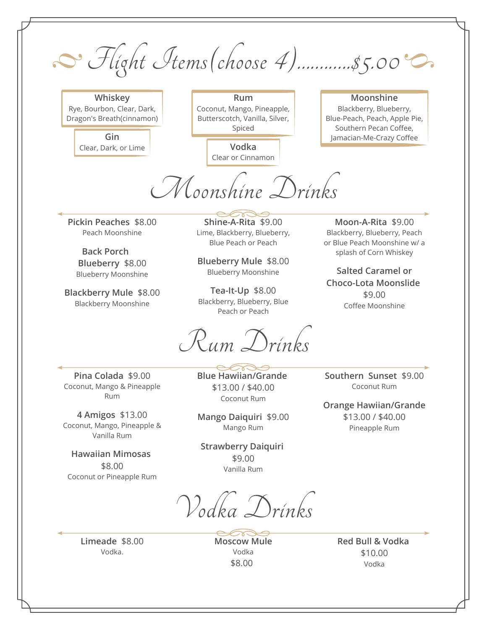Flight Items (choose 4)............\$5.00°C

**Whiskey** Rye, Bourbon, Clear, Dark, Dragon's Breath(cinnamon)

Clear, Dark, or Lime **Vodka**

**Rum** Coconut, Mango, Pineapple, Butterscotch, Vanilla, Silver, Spiced

Clear or Cinnamon

## **Moonshine** Blackberry, Blueberry, Blue-Peach, Peach, Apple Pie, Southern Pecan Coffee, **Gin** Jamacian-Me-Crazy Coffee

**Moon-A-Rita** \$9.00 Blackberry, Blueberry, Peach or Blue Peach Moonshine w/ a

**Choco-Lota Moonslide**  \$9.00 Coffee Moonshine

Moonshine Drinks

**Pickin Peaches** \$8.00 Peach Moonshine

**Back Porch Back Porch splash of Corn Whiskey Blueberry** \$8.00 Blueberry Moonshine

**Blackberry Mule** \$8.00 Blackberry Moonshine

**Shine-A-Rita** \$9.00 Lime, Blackberry, Blueberry, Blue Peach or Peach

**Blueberry Mule** \$8.00 Blueberry Moonshine **Salted Caramel or**

**Tea-It-Up** \$8.00 Blackberry, Blueberry, Blue Peach or Peach

Rum Drinks

**Pina Colada** \$9.00 Coconut, Mango & Pineapple Rum

**4 Amigos** \$13.00 Coconut, Mango, Pineapple & Vanilla Rum

**Hawaiian Mimosas**  \$8.00 Coconut or Pineapple Rum **Blue Hawiian/Grande**  \$13.00 / \$40.00 Coconut Rum

**Mango Daiquiri** \$9.00 Mango Rum

**Strawberry Daiquiri**  \$9.00 Vanilla Rum

Vodka Drinks

**Limeade** \$8.00 Vodka.

**Moscow Mule** Vodka \$8.00

**Red Bull & Vodka**  \$10.00 Vodka

**Southern Sunset** \$9.00 Coconut Rum

**Orange Hawiian/Grande** \$13.00 / \$40.00 Pineapple Rum